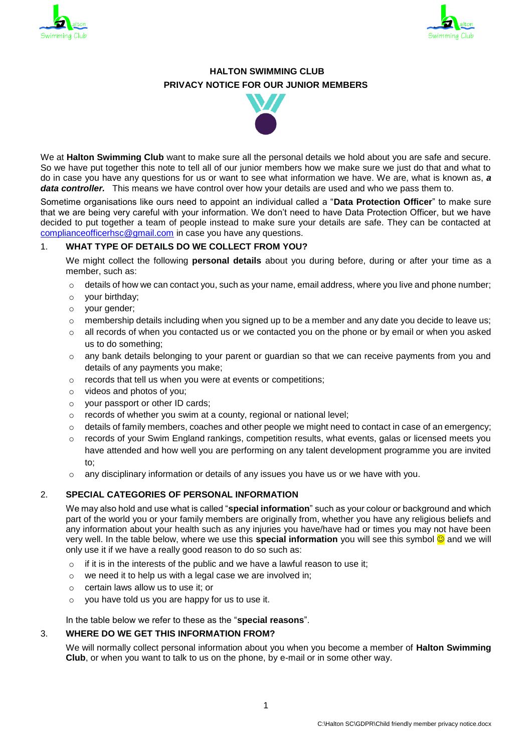



# **HALTON SWIMMING CLUB PRIVACY NOTICE FOR OUR JUNIOR MEMBERS**



We at **Halton Swimming Club** want to make sure all the personal details we hold about you are safe and secure. So we have put together this note to tell all of our junior members how we make sure we just do that and what to do in case you have any questions for us or want to see what information we have. We are, what is known as, *a data controller.* This means we have control over how your details are used and who we pass them to.

Sometime organisations like ours need to appoint an individual called a "**Data Protection Officer**" to make sure that we are being very careful with your information. We don't need to have Data Protection Officer, but we have decided to put together a team of people instead to make sure your details are safe. They can be contacted at [complianceofficerhsc@gmail.com](mailto:complianceofficerhsc@gmail.com) in case you have any questions.

### 1. **WHAT TYPE OF DETAILS DO WE COLLECT FROM YOU?**

We might collect the following **personal details** about you during before, during or after your time as a member, such as:

- $\circ$  details of how we can contact you, such as your name, email address, where you live and phone number;
- o your birthday;
- o your gender;
- $\circ$  membership details including when you signed up to be a member and any date you decide to leave us;
- $\circ$  all records of when you contacted us or we contacted you on the phone or by email or when you asked us to do something;
- $\circ$  any bank details belonging to your parent or guardian so that we can receive payments from you and details of any payments you make;
- o records that tell us when you were at events or competitions;
- o videos and photos of you;
- o your passport or other ID cards;
- o records of whether you swim at a county, regional or national level;
- $\circ$  details of family members, coaches and other people we might need to contact in case of an emergency;
- $\circ$  records of your Swim England rankings, competition results, what events, galas or licensed meets you have attended and how well you are performing on any talent development programme you are invited to;
- $\circ$  any disciplinary information or details of any issues you have us or we have with you.

### 2. **SPECIAL CATEGORIES OF PERSONAL INFORMATION**

We may also hold and use what is called "**special information**" such as your colour or background and which part of the world you or your family members are originally from, whether you have any religious beliefs and any information about your health such as any injuries you have/have had or times you may not have been very well. In the table below, where we use this **special information** you will see this symbol **©** and we will only use it if we have a really good reason to do so such as:

- $\circ$  if it is in the interests of the public and we have a lawful reason to use it:
- o we need it to help us with a legal case we are involved in;
- o certain laws allow us to use it; or
- o you have told us you are happy for us to use it.

In the table below we refer to these as the "**special reasons**".

# 3. **WHERE DO WE GET THIS INFORMATION FROM?**

We will normally collect personal information about you when you become a member of **Halton Swimming Club**, or when you want to talk to us on the phone, by e-mail or in some other way.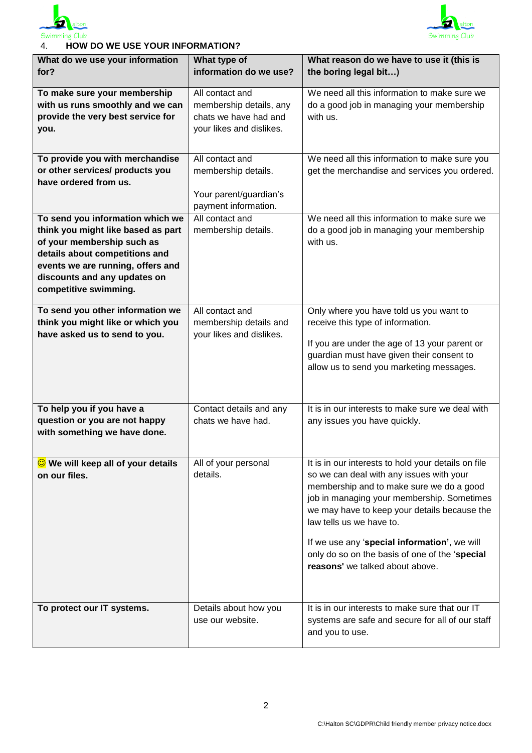



## 4. **HOW DO WE USE YOUR INFORMATION?**

| What do we use your information                                  | What type of                               | What reason do we have to use it (this is                                                 |
|------------------------------------------------------------------|--------------------------------------------|-------------------------------------------------------------------------------------------|
| for?                                                             | information do we use?                     | the boring legal bit)                                                                     |
| To make sure your membership<br>with us runs smoothly and we can | All contact and<br>membership details, any | We need all this information to make sure we<br>do a good job in managing your membership |
| provide the very best service for                                | chats we have had and                      | with us.                                                                                  |
| you.                                                             | your likes and dislikes.                   |                                                                                           |
|                                                                  |                                            |                                                                                           |
| To provide you with merchandise                                  | All contact and                            | We need all this information to make sure you                                             |
| or other services/ products you                                  | membership details.                        | get the merchandise and services you ordered.                                             |
| have ordered from us.                                            |                                            |                                                                                           |
|                                                                  | Your parent/guardian's                     |                                                                                           |
| To send you information which we                                 | payment information.<br>All contact and    | We need all this information to make sure we                                              |
| think you might like based as part                               | membership details.                        | do a good job in managing your membership                                                 |
| of your membership such as                                       |                                            | with us.                                                                                  |
| details about competitions and                                   |                                            |                                                                                           |
| events we are running, offers and                                |                                            |                                                                                           |
| discounts and any updates on                                     |                                            |                                                                                           |
| competitive swimming.                                            |                                            |                                                                                           |
| To send you other information we                                 | All contact and                            | Only where you have told us you want to                                                   |
| think you might like or which you                                | membership details and                     | receive this type of information.                                                         |
| have asked us to send to you.                                    | your likes and dislikes.                   |                                                                                           |
|                                                                  |                                            | If you are under the age of 13 your parent or                                             |
|                                                                  |                                            | guardian must have given their consent to                                                 |
|                                                                  |                                            | allow us to send you marketing messages.                                                  |
|                                                                  |                                            |                                                                                           |
| To help you if you have a                                        | Contact details and any                    | It is in our interests to make sure we deal with                                          |
| question or you are not happy                                    | chats we have had.                         | any issues you have quickly.                                                              |
| with something we have done.                                     |                                            |                                                                                           |
|                                                                  |                                            |                                                                                           |
| <b>We will keep all of your details</b>                          | All of your personal                       | It is in our interests to hold your details on file                                       |
| on our files.                                                    | details.                                   | so we can deal with any issues with your                                                  |
|                                                                  |                                            | membership and to make sure we do a good                                                  |
|                                                                  |                                            | job in managing your membership. Sometimes                                                |
|                                                                  |                                            | we may have to keep your details because the<br>law tells us we have to.                  |
|                                                                  |                                            |                                                                                           |
|                                                                  |                                            | If we use any 'special information', we will                                              |
|                                                                  |                                            | only do so on the basis of one of the 'special<br>reasons' we talked about above.         |
|                                                                  |                                            |                                                                                           |
|                                                                  |                                            |                                                                                           |
| To protect our IT systems.                                       | Details about how you                      | It is in our interests to make sure that our IT                                           |
|                                                                  | use our website.                           | systems are safe and secure for all of our staff                                          |
|                                                                  |                                            | and you to use.                                                                           |
|                                                                  |                                            |                                                                                           |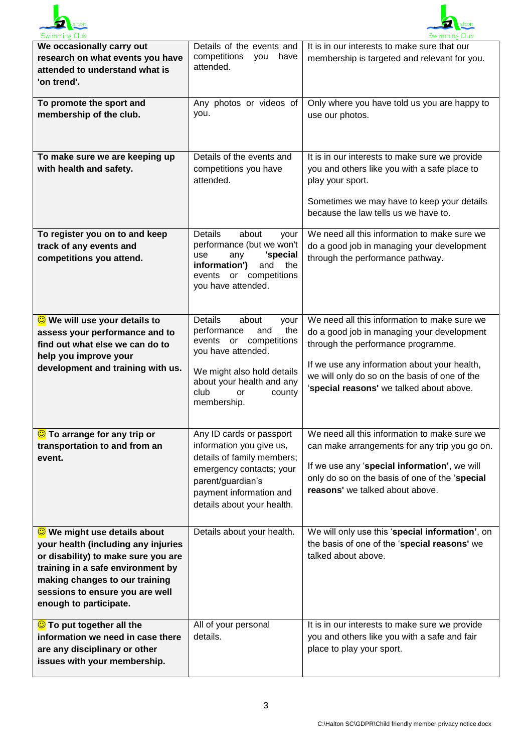



| We occasionally carry out<br>research on what events you have<br>attended to understand what is<br>'on trend'.                                                                                                                                        | Details of the events and<br>competitions<br>you<br>have<br>attended.                                                                                                                                             | It is in our interests to make sure that our<br>membership is targeted and relevant for you.                                                                                                                                                                                  |
|-------------------------------------------------------------------------------------------------------------------------------------------------------------------------------------------------------------------------------------------------------|-------------------------------------------------------------------------------------------------------------------------------------------------------------------------------------------------------------------|-------------------------------------------------------------------------------------------------------------------------------------------------------------------------------------------------------------------------------------------------------------------------------|
| To promote the sport and<br>membership of the club.                                                                                                                                                                                                   | Any photos or videos of<br>you.                                                                                                                                                                                   | Only where you have told us you are happy to<br>use our photos.                                                                                                                                                                                                               |
| To make sure we are keeping up<br>with health and safety.                                                                                                                                                                                             | Details of the events and<br>competitions you have<br>attended.                                                                                                                                                   | It is in our interests to make sure we provide<br>you and others like you with a safe place to<br>play your sport.<br>Sometimes we may have to keep your details<br>because the law tells us we have to.                                                                      |
| To register you on to and keep<br>track of any events and<br>competitions you attend.                                                                                                                                                                 | <b>Details</b><br>about<br>your<br>performance (but we won't<br>'special<br>use<br>any<br>information')<br>and<br>the<br>events or competitions<br>you have attended.                                             | We need all this information to make sure we<br>do a good job in managing your development<br>through the performance pathway.                                                                                                                                                |
| <b>C</b> We will use your details to<br>assess your performance and to<br>find out what else we can do to<br>help you improve your<br>development and training with us.                                                                               | <b>Details</b><br>about<br>your<br>the<br>performance<br>and<br>or competitions<br>events<br>you have attended.<br>We might also hold details<br>about your health and any<br>club<br>county<br>or<br>membership. | We need all this information to make sure we<br>do a good job in managing your development<br>through the performance programme.<br>If we use any information about your health,<br>we will only do so on the basis of one of the<br>'special reasons' we talked about above. |
| C To arrange for any trip or<br>transportation to and from an<br>event.                                                                                                                                                                               | Any ID cards or passport<br>information you give us,<br>details of family members;<br>emergency contacts; your<br>parent/guardian's<br>payment information and<br>details about your health.                      | We need all this information to make sure we<br>can make arrangements for any trip you go on.<br>If we use any 'special information', we will<br>only do so on the basis of one of the 'special<br>reasons' we talked about above.                                            |
| <b>C</b> We might use details about<br>your health (including any injuries<br>or disability) to make sure you are<br>training in a safe environment by<br>making changes to our training<br>sessions to ensure you are well<br>enough to participate. | Details about your health.                                                                                                                                                                                        | We will only use this 'special information', on<br>the basis of one of the 'special reasons' we<br>talked about above.                                                                                                                                                        |
| C To put together all the<br>information we need in case there<br>are any disciplinary or other<br>issues with your membership.                                                                                                                       | All of your personal<br>details.                                                                                                                                                                                  | It is in our interests to make sure we provide<br>you and others like you with a safe and fair<br>place to play your sport.                                                                                                                                                   |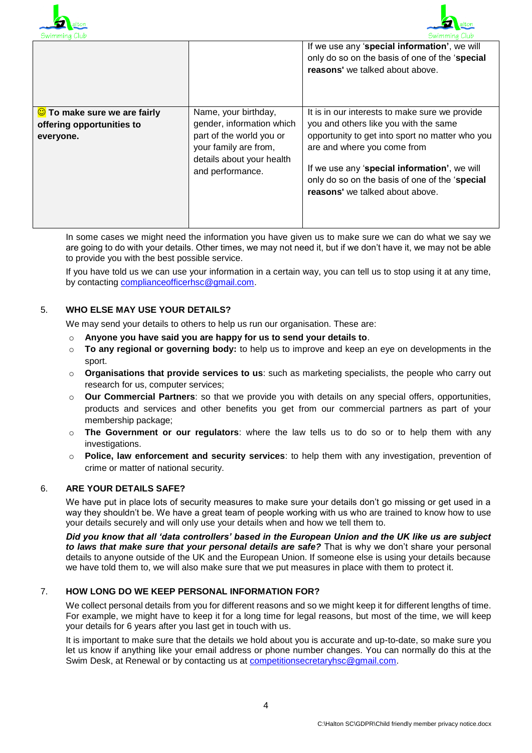



|                                                                                 |                                                                                                                                                         | If we use any 'special information', we will<br>only do so on the basis of one of the 'special<br>reasons' we talked about above.                                                                                                                                                                              |
|---------------------------------------------------------------------------------|---------------------------------------------------------------------------------------------------------------------------------------------------------|----------------------------------------------------------------------------------------------------------------------------------------------------------------------------------------------------------------------------------------------------------------------------------------------------------------|
| $\bigcirc$ To make sure we are fairly<br>offering opportunities to<br>everyone. | Name, your birthday,<br>gender, information which<br>part of the world you or<br>your family are from,<br>details about your health<br>and performance. | It is in our interests to make sure we provide<br>you and others like you with the same<br>opportunity to get into sport no matter who you<br>are and where you come from<br>If we use any 'special information', we will<br>only do so on the basis of one of the 'special<br>reasons' we talked about above. |

In some cases we might need the information you have given us to make sure we can do what we say we are going to do with your details. Other times, we may not need it, but if we don't have it, we may not be able to provide you with the best possible service.

If you have told us we can use your information in a certain way, you can tell us to stop using it at any time, by contacting compliance officerhsc@gmail.com.

### 5. **WHO ELSE MAY USE YOUR DETAILS?**

We may send your details to others to help us run our organisation. These are:

- o **Anyone you have said you are happy for us to send your details to**.
- o **To any regional or governing body:** to help us to improve and keep an eye on developments in the sport.
- o **Organisations that provide services to us**: such as marketing specialists, the people who carry out research for us, computer services;
- o **Our Commercial Partners**: so that we provide you with details on any special offers, opportunities, products and services and other benefits you get from our commercial partners as part of your membership package;
- o **The Government or our regulators**: where the law tells us to do so or to help them with any investigations.
- o **Police, law enforcement and security services**: to help them with any investigation, prevention of crime or matter of national security.

## 6. **ARE YOUR DETAILS SAFE?**

We have put in place lots of security measures to make sure your details don't go missing or get used in a way they shouldn't be. We have a great team of people working with us who are trained to know how to use your details securely and will only use your details when and how we tell them to.

*Did you know that all 'data controllers' based in the European Union and the UK like us are subject to laws that make sure that your personal details are safe?* That is why we don't share your personal details to anyone outside of the UK and the European Union. If someone else is using your details because we have told them to, we will also make sure that we put measures in place with them to protect it.

## 7. **HOW LONG DO WE KEEP PERSONAL INFORMATION FOR?**

We collect personal details from you for different reasons and so we might keep it for different lengths of time. For example, we might have to keep it for a long time for legal reasons, but most of the time, we will keep your details for 6 years after you last get in touch with us.

It is important to make sure that the details we hold about you is accurate and up-to-date, so make sure you let us know if anything like your email address or phone number changes. You can normally do this at the Swim Desk, at Renewal or by contacting us at [competitionsecretaryhsc@gmail.com.](mailto:competitionsecretaryhsc@gmail.com)